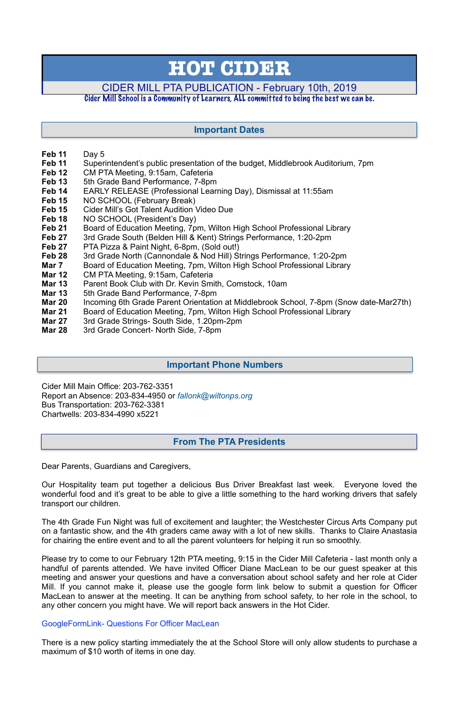- **Feb 11** Day 5
- **Feb 11** Superintendent's public presentation of the budget, Middlebrook Auditorium, 7pm
- **Feb 12** CM PTA Meeting, 9:15am, Cafeteria
- **Feb 13** 5th Grade Band Performance, 7-8pm
- **Feb 14** EARLY RELEASE (Professional Learning Day), Dismissal at 11:55am
- **Feb 15** NO SCHOOL (February Break)
- **Feb 15** Cider Mill's Got Talent Audition Video Due
- Feb 18 NO SCHOOL (President's Day)
- **Feb 21** Board of Education Meeting, 7pm, Wilton High School Professional Library
- **Feb 27** 3rd Grade South (Belden Hill & Kent) Strings Performance, 1:20-2pm
- **Feb 27** PTA Pizza & Paint Night, 6-8pm, (Sold out!)
- **Feb 28** 3rd Grade North (Cannondale & Nod Hill) Strings Performance, 1:20-2pm
- **Mar 7** Board of Education Meeting, 7pm, Wilton High School Professional Library
- **Mar 12** CM PTA Meeting, 9:15am, Cafeteria
- **Mar 13** Parent Book Club with Dr. Kevin Smith, Comstock, 10am
- **Mar 13** 5th Grade Band Performance, 7-8pm
- **Mar 20** Incoming 6th Grade Parent Orientation at Middlebrook School, 7-8pm (Snow date-Mar27th)
- **Mar 21** Board of Education Meeting, 7pm, Wilton High School Professional Library
- **Mar 27** 3rd Grade Strings- South Side, 1.20pm-2pm
- **Mar 28** 3rd Grade Concert- North Side, 7-8pm

Cider Mill Main Office: 203-762-3351 Report an Absence: 203-834-4950 or *[fallonk@wiltonps.org](mailto:fallonk@wiltonps.org)* Bus Transportation: 203-762-3381 Chartwells: 203-834-4990 x5221

Dear Parents, Guardians and Caregivers,

Our Hospitality team put together a delicious Bus Driver Breakfast last week. Everyone loved the wonderful food and it's great to be able to give a little something to the hard working drivers that safely transport our children.

The 4th Grade Fun Night was full of excitement and laughter; the Westchester Circus Arts Company put on a fantastic show, and the 4th graders came away with a lot of new skills. Thanks to Claire Anastasia for chairing the entire event and to all the parent volunteers for helping it run so smoothly.

Please try to come to our February 12th PTA meeting, 9:15 in the Cider Mill Cafeteria - last month only a handful of parents attended. We have invited Officer Diane MacLean to be our guest speaker at this meeting and answer your questions and have a conversation about school safety and her role at Cider Mill. If you cannot make it, please use the google form link below to submit a question for Officer MacLean to answer at the meeting. It can be anything from school safety, to her role in the school, to any other concern you might have. We will report back answers in the Hot Cider.

[GoogleFormLink- Questions For Officer MacLean](https://docs.google.com/forms/d/e/1FAIpQLSfvzwZj4cnS0yw-OaXc2pB2sMdX1_IPTFsgn7ISQx8SH9F-mQ/viewform?vc=0&c=0&w=1&fbclid=IwAR3oVolwztC6x0NyMwauGIx5jnVEJV2mqVlY7IdW6hdaep8VyDn4S3fyba8)

There is a new policy starting immediately the at the School Store will only allow students to purchase a maximum of \$10 worth of items in one day.

# **HOT CIDER**

## CIDER MILL PTA PUBLICATION - February 10th, 2019

## Cider Mill School is a Community of Learners, ALL committed to being the best we can be.

## **From The PTA Presidents**

## **Important Dates**

## **Important Phone Numbers**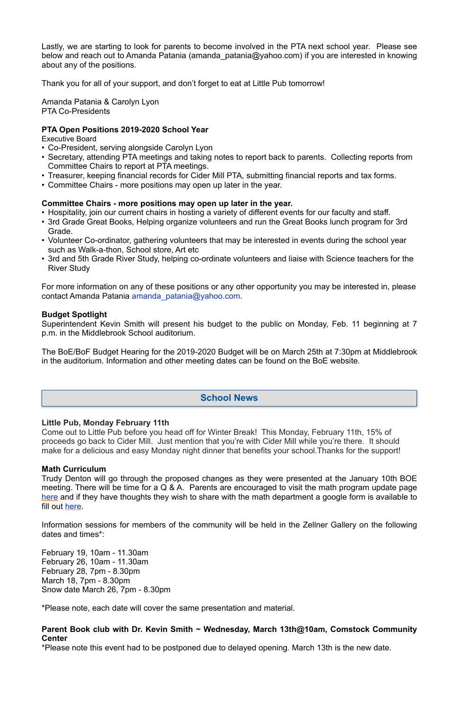Lastly, we are starting to look for parents to become involved in the PTA next school year. Please see below and reach out to Amanda Patania [\(](mailto:9amanda_patania@yahoo.com)[amanda\\_patania@yahoo.com](mailto:amanda_patania@yahoo.com)) if you are interested in knowing about any of the positions.

Thank you for all of your support, and don't forget to eat at Little Pub tomorrow!

Amanda Patania & Carolyn Lyon PTA Co-Presidents

#### **PTA Open Positions 2019-2020 School Year**

Executive Board

- Co-President, serving alongside Carolyn Lyon
- Secretary, attending PTA meetings and taking notes to report back to parents. Collecting reports from Committee Chairs to report at PTA meetings.
- Treasurer, keeping financial records for Cider Mill PTA, submitting financial reports and tax forms.
- Committee Chairs more positions may open up later in the year.

#### **Committee Chairs - more positions may open up later in the year.**

- Hospitality, join our current chairs in hosting a variety of different events for our faculty and staff.
- 3rd Grade Great Books, Helping organize volunteers and run the Great Books lunch program for 3rd Grade.
- Volunteer Co-ordinator, gathering volunteers that may be interested in events during the school year such as Walk-a-thon, School store, Art etc
- 3rd and 5th Grade River Study, helping co-ordinate volunteers and liaise with Science teachers for the River Study

For more information on any of these positions or any other opportunity you may be interested in, please contact Amanda Patania [amanda\\_patania@yahoo.com.](mailto:amanda_patania@yahoo.com)

#### **Budget Spotlight**

Superintendent Kevin Smith will present his budget to the public on Monday, Feb. 11 beginning at 7 p.m. in the Middlebrook School auditorium.

The BoE/BoF Budget Hearing for the 2019-2020 Budget will be on March 25th at 7:30pm at Middlebrook in the auditorium. Information and other meeting dates can be found on the BoE website.

#### **Little Pub, Monday February 11th**

Come out to Little Pub before you head off for Winter Break! This Monday, February 11th, 15% of proceeds go back to Cider Mill. Just mention that you're with Cider Mill while you're there. It should make for a delicious and easy Monday night dinner that benefits your school.Thanks for the support!

#### **Math Curriculum**

Trudy Denton will go through the proposed changes as they were presented at the January 10th BOE meeting. There will be time for a Q & A. Parents are encouraged to visit the math program update page [here](https://www.wiltonps.org/departments/curriculum-and-instruction/mathematics/wps-math-program-update) and if they have thoughts they wish to share with the math department a google form is available to fill out [here](https://docs.google.com/forms/d/e/1FAIpQLScfBehVI4Tn3ADchjUsShLUf7d9K6lP3D2XJMc8pbrM1rLz4w/viewform).

Information sessions for members of the community will be held in the Zellner Gallery on the following dates and times\*:

February 19, 10am - 11.30am February 26, 10am - 11.30am February 28, 7pm - 8.30pm March 18, 7pm - 8.30pm Snow date March 26, 7pm - 8.30pm

\*Please note, each date will cover the same presentation and material.

**Parent Book club with Dr. Kevin Smith ~ Wednesday, March 13th@10am, Comstock Community Center** 

\*Please note this event had to be postponed due to delayed opening. March 13th is the new date.

## **School News**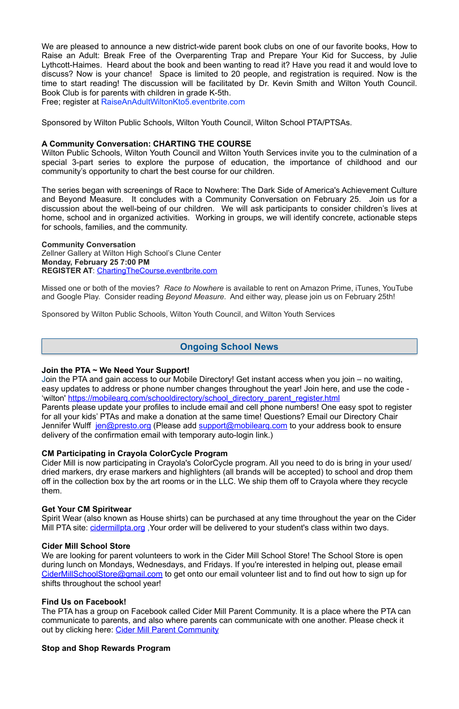We are pleased to announce a new district-wide parent book clubs on one of our favorite books, How to Raise an Adult: Break Free of the Overparenting Trap and Prepare Your Kid for Success, by Julie Lythcott-Haimes. Heard about the book and been wanting to read it? Have you read it and would love to discuss? Now is your chance! Space is limited to 20 people, and registration is required. Now is the time to start reading! The discussion will be facilitated by Dr. Kevin Smith and Wilton Youth Council. Book Club is for parents with children in grade K-5th.

Free; register at [RaiseAnAdultWiltonKto5.eventbrite.com](http://raiseanadultwiltonkto5.eventbrite.com/)

Sponsored by Wilton Public Schools, Wilton Youth Council, Wilton School PTA/PTSAs.

#### **A Community Conversation: CHARTING THE COURSE**

Wilton Public Schools, Wilton Youth Council and Wilton Youth Services invite you to the culmination of a special 3-part series to explore the purpose of education, the importance of childhood and our community's opportunity to chart the best course for our children.

The series began with screenings of Race to Nowhere: The Dark Side of America's Achievement Culture and Beyond Measure. It concludes with a Community Conversation on February 25. Join us for a discussion about the well-being of our children. We will ask participants to consider children's lives at home, school and in organized activities. Working in groups, we will identify concrete, actionable steps for schools, families, and the community.

**Community Conversation** Zellner Gallery at Wilton High School's Clune Center **Monday, February 25 7:00 PM REGISTER AT**: [ChartingTheCourse.eventbrite.com](http://chartingthecourse.eventbrite.com/) 

Missed one or both of the movies? *Race to Nowhere* is available to rent on Amazon Prime, iTunes, YouTube and Google Play. Consider reading *Beyond Measure*. And either way, please join us on February 25th!

The PTA has a group on Facebook called Cider Mill Parent Community. It is a place where the PTA can communicate to parents, and also where parents can communicate with one another. Please check it out by clicking here: [Cider Mill Parent Community](https://www.facebook.com/groups/1168962513117647/)

Sponsored by Wilton Public Schools, Wilton Youth Council, and Wilton Youth Services

#### **Join the PTA ~ We Need Your Support!**

Join the PTA and gain access to our Mobile Directory! Get instant access when you join – no waiting, easy updates to address or phone number changes throughout the year! Join here, and use the code - 'wilton' [https://mobilearq.com/schooldirectory/school\\_directory\\_parent\\_register.html](https://mobilearq.com/schooldirectory/school_directory_parent_register.html)  Parents please update your profiles to include email and cell phone numbers! One easy spot to register for all your kids' PTAs and make a donation at the same time! Questions? Email our Directory Chair Jennifer Wulff [jen@presto.org](mailto:jen@presto.org) (Please add support@mobilearg.com to your address book to ensure delivery of the confirmation email with temporary auto-login link.)

#### **CM Participating in Crayola ColorCycle Program**

Cider Mill is now participating in Crayola's ColorCycle program. All you need to do is bring in your used/ dried markers, dry erase markers and highlighters (all brands will be accepted) to school and drop them off in the collection box by the art rooms or in the LLC. We ship them off to Crayola where they recycle them.

#### **Get Your CM Spiritwear**

Spirit Wear (also known as House shirts) can be purchased at any time throughout the year on the Cider

Mill PTA site: cidermillpta.org, Your order will be delivered to your student's class within two days.

#### **Cider Mill School Store**

We are looking for parent volunteers to work in the Cider Mill School Store! The School Store is open during lunch on Mondays, Wednesdays, and Fridays. If you're interested in helping out, please email [CiderMillSchoolStore@gmail.com](mailto:CiderMillSchoolStore@gmail.com) to get onto our email volunteer list and to find out how to sign up for shifts throughout the school year!

#### **Find Us on Facebook!**

#### **Stop and Shop Rewards Program**

## **Ongoing School News**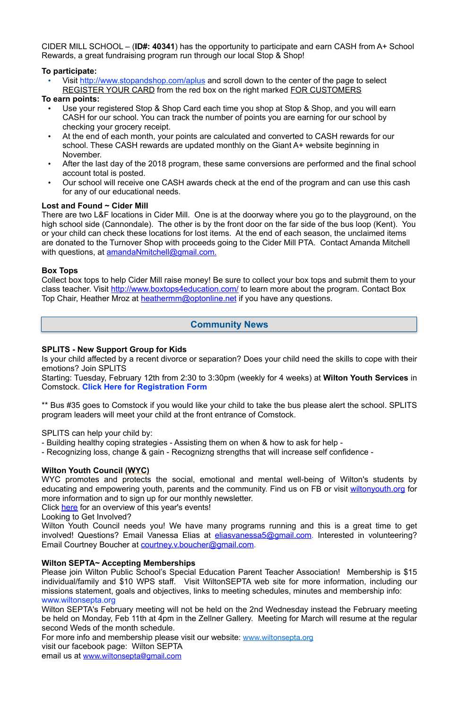CIDER MILL SCHOOL – (**ID#: 40341**) has the opportunity to participate and earn CASH from A+ School Rewards, a great fundraising program run through our local Stop & Shop!

• Visit <http://www.stopandshop.com/aplus> and scroll down to the center of the page to select REGISTER YOUR CARD from the red box on the right marked FOR CUSTOMERS

## **To participate:**

### **To earn points:**

- Use your registered Stop & Shop Card each time you shop at Stop & Shop, and you will earn CASH for our school. You can track the number of points you are earning for our school by checking your grocery receipt.
- At the end of each month, your points are calculated and converted to CASH rewards for our school. These CASH rewards are updated monthly on the Giant A+ website beginning in November.
- After the last day of the 2018 program, these same conversions are performed and the final school account total is posted.
- Our school will receive one CASH awards check at the end of the program and can use this cash for any of our educational needs.

There are two L&F locations in Cider Mill. One is at the doorway where you go to the playground, on the high school side (Cannondale). The other is by the front door on the far side of the bus loop (Kent). You or your child can check these locations for lost items. At the end of each season, the unclaimed items are donated to the Turnover Shop with proceeds going to the Cider Mill PTA. Contact Amanda Mitchell with questions, at [amandaNmitchell@gmail.com](mailto:amandaNmitchell@gmail.com).

Collect box tops to help Cider Mill raise money! Be sure to collect your box tops and submit them to your class teacher. Visit <http://www.boxtops4education.com/> to learn more about the program. Contact Box Top Chair, Heather Mroz at [heathermm@optonline.net](mailto:heathermm@optonline.net) if you have any questions.

## **Lost and Found ~ Cider Mill**

Wilton Youth Council needs you! We have many programs running and this is a great time to get involved! Questions? Email Vanessa Elias at *eliasvanessa5@gmail.com*. Interested in volunteering? Email Courtney Boucher at [courtney.v.boucher@gmail.com](mailto:courtney.v.boucher@gmail.com).

#### **Box Tops**

#### **SPLITS - New Support Group for Kids**

Is your child affected by a recent divorce or separation? Does your child need the skills to cope with their emotions? Join SPLITS

Starting: Tuesday, February 12th from 2:30 to 3:30pm (weekly for 4 weeks) at **Wilton Youth Services** in Comstock. **[Click Here for Registration Form](http://track.spe.schoolmessenger.com/f/a/GOv4Z8XnqyjWg7q5YKFeFA~~/AAAAAQA~/RgReL2DtP0RSaHR0cHM6Ly9kcml2ZS5nb29nbGUuY29tL29wZW4_aWQ9MEJ6OWh0SVI2R0xKaE1qVlNSbk5mWkdnek5FcHJMV1ZwTURoU1J6SjNNMlZ3TWt0elcHc2Nob29sbUIKAABtLU5cX7ScIFIXc3VqYXRhLnZlbXVyaUBnbWFpbC5jb21YBAAAAAE~)**

\*\* Bus #35 goes to Comstock if you would like your child to take the bus please alert the school. SPLITS program leaders will meet your child at the front entrance of Comstock.

SPLITS can help your child by:

- Building healthy coping strategies - Assisting them on when & how to ask for help -

- Recognizing loss, change & gain - Recognizng strengths that will increase self confidence -

## **Wilton Youth Council (WYC)**

WYC promotes and protects the social, emotional and mental well-being of Wilton's students by educating and empowering youth, parents and the community. Find us on FB or visit [wiltonyouth.org](http://wiltonyouth.org) for more information and to sign up for our monthly newsletter.

Click [here](http://files.constantcontact.com/a093842c001/38385929-43f0-45d4-b187-f0f71a4d7dbb.pdf) for an overview of this year's events!

Looking to Get Involved?

#### **Wilton SEPTA~ Accepting Memberships**

Please join Wilton Public School's Special Education Parent Teacher Association! Membership is \$15 individual/family and \$10 WPS staff. Visit WiltonSEPTA web site for more information, including our missions statement, goals and objectives, links to meeting schedules, minutes and membership info: [www.wiltonsepta.org](http://www.wiltonsepta.org) 

Wilton SEPTA's February meeting will not be held on the 2nd Wednesday instead the February meeting be held on Monday, Feb 11th at 4pm in the Zellner Gallery. Meeting for March will resume at the regular second Weds of the month schedule.

For more info and membership please visit our website: [www.wiltonsepta.org](http://www.wiltonsepta.org/)

visit our facebook page: Wilton SEPTA

email us at [www.wiltonsepta@gmail.com](mailto:www.wiltonsepta@gmail.com)

## **Community News**